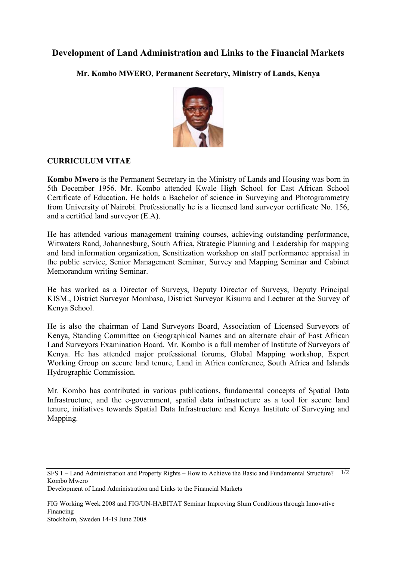## **Development of Land Administration and Links to the Financial Markets**

**Mr. Kombo MWERO, Permanent Secretary, Ministry of Lands, Kenya** 



## **CURRICULUM VITAE**

**Kombo Mwero** is the Permanent Secretary in the Ministry of Lands and Housing was born in 5th December 1956. Mr. Kombo attended Kwale High School for East African School Certificate of Education. He holds a Bachelor of science in Surveying and Photogrammetry from University of Nairobi. Professionally he is a licensed land surveyor certificate No. 156, and a certified land surveyor (E.A).

He has attended various management training courses, achieving outstanding performance, Witwaters Rand, Johannesburg, South Africa, Strategic Planning and Leadership for mapping and land information organization, Sensitization workshop on staff performance appraisal in the public service, Senior Management Seminar, Survey and Mapping Seminar and Cabinet Memorandum writing Seminar.

He has worked as a Director of Surveys, Deputy Director of Surveys, Deputy Principal KISM., District Surveyor Mombasa, District Surveyor Kisumu and Lecturer at the Survey of Kenya School.

He is also the chairman of Land Surveyors Board, Association of Licensed Surveyors of Kenya, Standing Committee on Geographical Names and an alternate chair of East African Land Surveyors Examination Board. Mr. Kombo is a full member of Institute of Surveyors of Kenya. He has attended major professional forums, Global Mapping workshop, Expert Working Group on secure land tenure, Land in Africa conference, South Africa and Islands Hydrographic Commission.

Mr. Kombo has contributed in various publications, fundamental concepts of Spatial Data Infrastructure, and the e-government, spatial data infrastructure as a tool for secure land tenure, initiatives towards Spatial Data Infrastructure and Kenya Institute of Surveying and Mapping.

Development of Land Administration and Links to the Financial Markets

SFS 1 – Land Administration and Property Rights – How to Achieve the Basic and Fundamental Structure? 1/2 Kombo Mwero